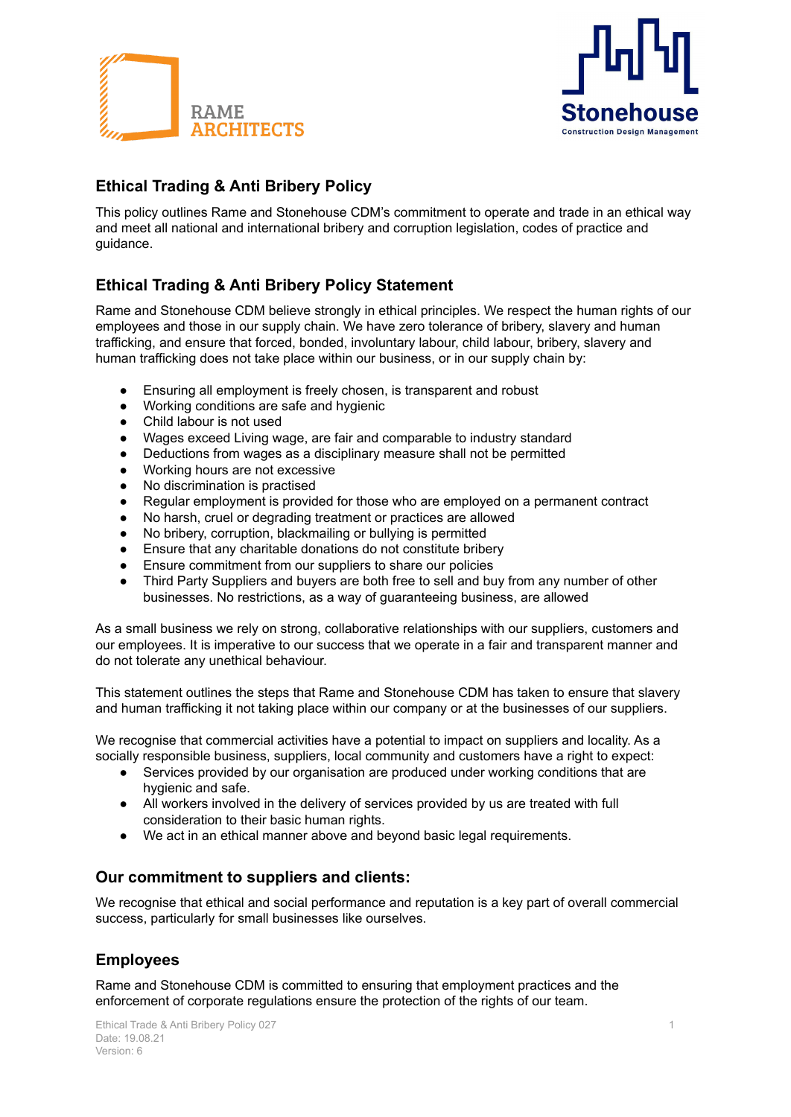



## **Ethical Trading & Anti Bribery Policy**

This policy outlines Rame and Stonehouse CDM's commitment to operate and trade in an ethical way and meet all national and international bribery and corruption legislation, codes of practice and guidance.

# **Ethical Trading & Anti Bribery Policy Statement**

Rame and Stonehouse CDM believe strongly in ethical principles. We respect the human rights of our employees and those in our supply chain. We have zero tolerance of bribery, slavery and human trafficking, and ensure that forced, bonded, involuntary labour, child labour, bribery, slavery and human trafficking does not take place within our business, or in our supply chain by:

- Ensuring all employment is freely chosen, is transparent and robust
- Working conditions are safe and hygienic
- Child labour is not used
- Wages exceed Living wage, are fair and comparable to industry standard
- Deductions from wages as a disciplinary measure shall not be permitted
- Working hours are not excessive
- No discrimination is practised
- Regular employment is provided for those who are employed on a permanent contract
- No harsh, cruel or degrading treatment or practices are allowed
- No bribery, corruption, blackmailing or bullying is permitted
- Ensure that any charitable donations do not constitute bribery
- Ensure commitment from our suppliers to share our policies
- Third Party Suppliers and buyers are both free to sell and buy from any number of other businesses. No restrictions, as a way of guaranteeing business, are allowed

As a small business we rely on strong, collaborative relationships with our suppliers, customers and our employees. It is imperative to our success that we operate in a fair and transparent manner and do not tolerate any unethical behaviour.

This statement outlines the steps that Rame and Stonehouse CDM has taken to ensure that slavery and human trafficking it not taking place within our company or at the businesses of our suppliers.

We recognise that commercial activities have a potential to impact on suppliers and locality. As a socially responsible business, suppliers, local community and customers have a right to expect:

- Services provided by our organisation are produced under working conditions that are hygienic and safe.
- All workers involved in the delivery of services provided by us are treated with full consideration to their basic human rights.
- We act in an ethical manner above and beyond basic legal requirements.

## **Our commitment to suppliers and clients:**

We recognise that ethical and social performance and reputation is a key part of overall commercial success, particularly for small businesses like ourselves.

## **Employees**

Rame and Stonehouse CDM is committed to ensuring that employment practices and the enforcement of corporate regulations ensure the protection of the rights of our team.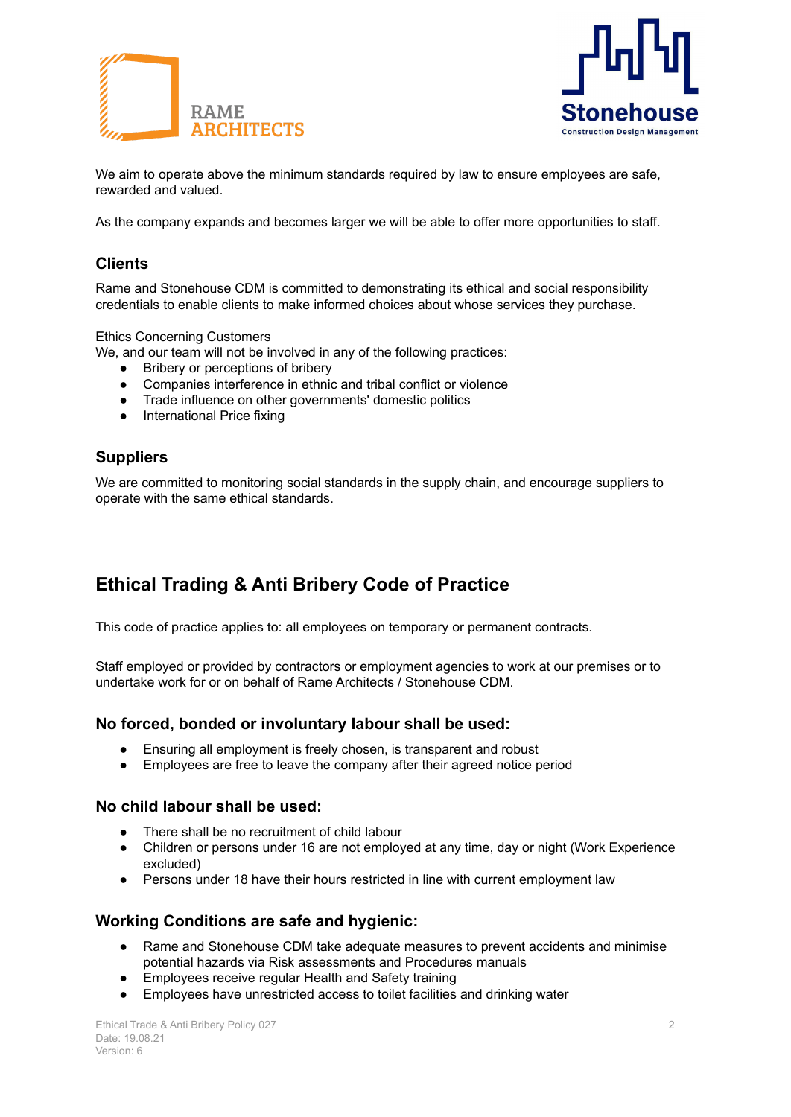



We aim to operate above the minimum standards required by law to ensure employees are safe, rewarded and valued.

As the company expands and becomes larger we will be able to offer more opportunities to staff.

### **Clients**

Rame and Stonehouse CDM is committed to demonstrating its ethical and social responsibility credentials to enable clients to make informed choices about whose services they purchase.

Ethics Concerning Customers

We, and our team will not be involved in any of the following practices:

- Bribery or perceptions of bribery
- Companies interference in ethnic and tribal conflict or violence
- Trade influence on other governments' domestic politics
- International Price fixing

#### **Suppliers**

We are committed to monitoring social standards in the supply chain, and encourage suppliers to operate with the same ethical standards.

# **Ethical Trading & Anti Bribery Code of Practice**

This code of practice applies to: all employees on temporary or permanent contracts.

Staff employed or provided by contractors or employment agencies to work at our premises or to undertake work for or on behalf of Rame Architects / Stonehouse CDM.

#### **No forced, bonded or involuntary labour shall be used:**

- Ensuring all employment is freely chosen, is transparent and robust
- Employees are free to leave the company after their agreed notice period

#### **No child labour shall be used:**

- There shall be no recruitment of child labour
- Children or persons under 16 are not employed at any time, day or night (Work Experience excluded)
- Persons under 18 have their hours restricted in line with current employment law

#### **Working Conditions are safe and hygienic:**

- Rame and Stonehouse CDM take adequate measures to prevent accidents and minimise potential hazards via Risk assessments and Procedures manuals
- Employees receive regular Health and Safety training
- Employees have unrestricted access to toilet facilities and drinking water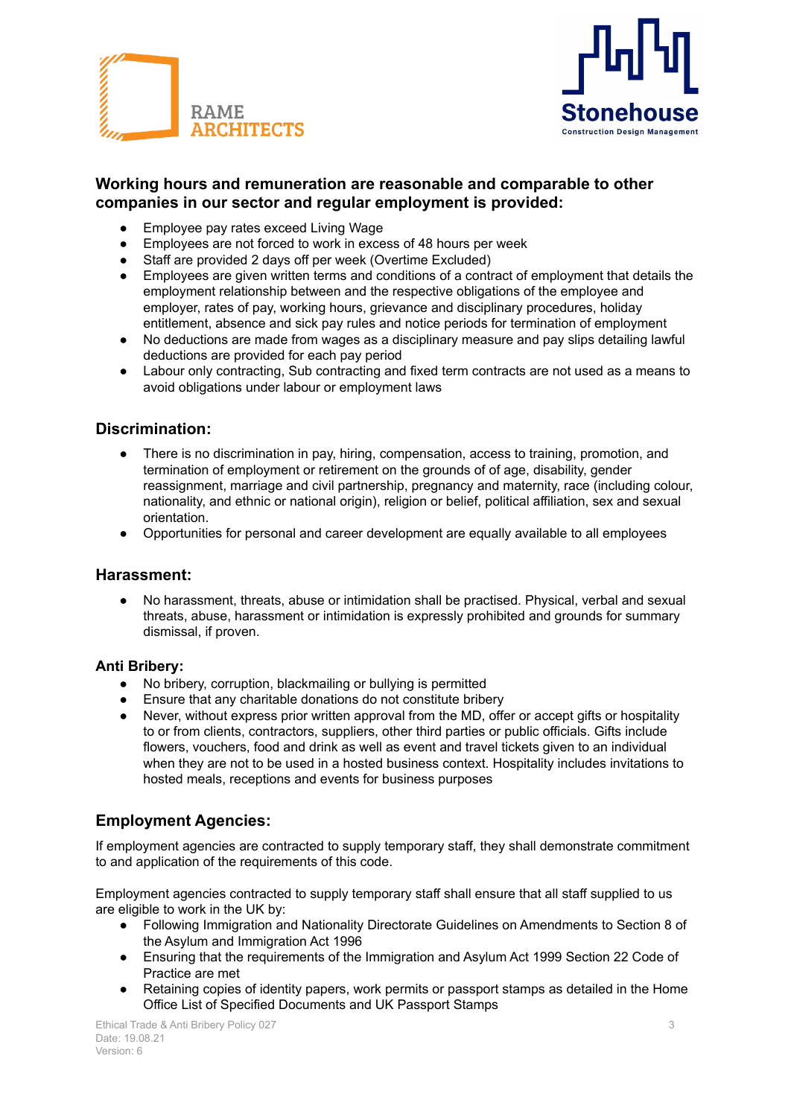



## **Working hours and remuneration are reasonable and comparable to other companies in our sector and regular employment is provided:**

- Employee pay rates exceed Living Wage
- Employees are not forced to work in excess of 48 hours per week<br>● Staff are provided 2 davs off per week (Overtime Excluded)
- Staff are provided 2 days off per week (Overtime Excluded)
- Employees are given written terms and conditions of a contract of employment that details the employment relationship between and the respective obligations of the employee and employer, rates of pay, working hours, grievance and disciplinary procedures, holiday entitlement, absence and sick pay rules and notice periods for termination of employment
- No deductions are made from wages as a disciplinary measure and pay slips detailing lawful deductions are provided for each pay period
- Labour only contracting, Sub contracting and fixed term contracts are not used as a means to avoid obligations under labour or employment laws

## **Discrimination:**

- There is no discrimination in pay, hiring, compensation, access to training, promotion, and termination of employment or retirement on the grounds of of age, disability, gender reassignment, marriage and civil partnership, pregnancy and maternity, race (including colour, nationality, and ethnic or national origin), religion or belief, political affiliation, sex and sexual orientation.
- Opportunities for personal and career development are equally available to all employees

#### **Harassment:**

● No harassment, threats, abuse or intimidation shall be practised. Physical, verbal and sexual threats, abuse, harassment or intimidation is expressly prohibited and grounds for summary dismissal, if proven.

#### **Anti Bribery:**

- No bribery, corruption, blackmailing or bullying is permitted
- Ensure that any charitable donations do not constitute bribery
- Never, without express prior written approval from the MD, offer or accept gifts or hospitality to or from clients, contractors, suppliers, other third parties or public officials. Gifts include flowers, vouchers, food and drink as well as event and travel tickets given to an individual when they are not to be used in a hosted business context. Hospitality includes invitations to hosted meals, receptions and events for business purposes

## **Employment Agencies:**

If employment agencies are contracted to supply temporary staff, they shall demonstrate commitment to and application of the requirements of this code.

Employment agencies contracted to supply temporary staff shall ensure that all staff supplied to us are eligible to work in the UK by:

- Following Immigration and Nationality Directorate Guidelines on Amendments to Section 8 of the Asylum and Immigration Act 1996
- Ensuring that the requirements of the Immigration and Asylum Act 1999 Section 22 Code of Practice are met
- Retaining copies of identity papers, work permits or passport stamps as detailed in the Home Office List of Specified Documents and UK Passport Stamps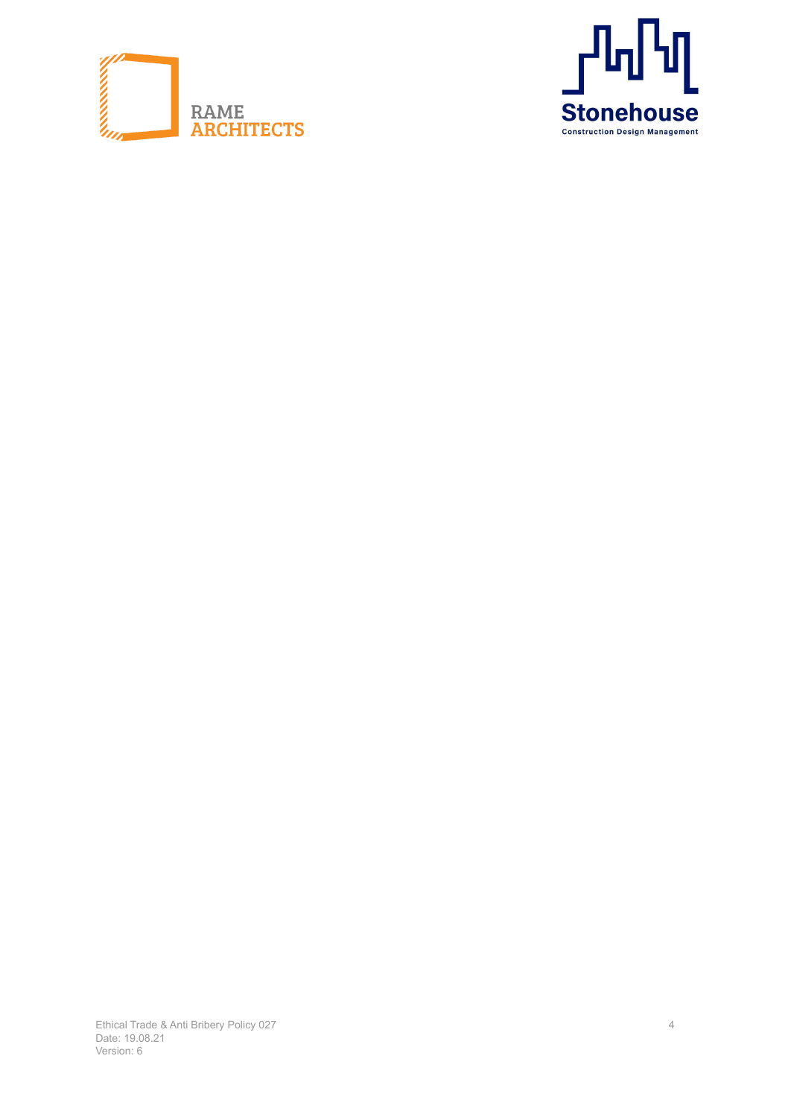